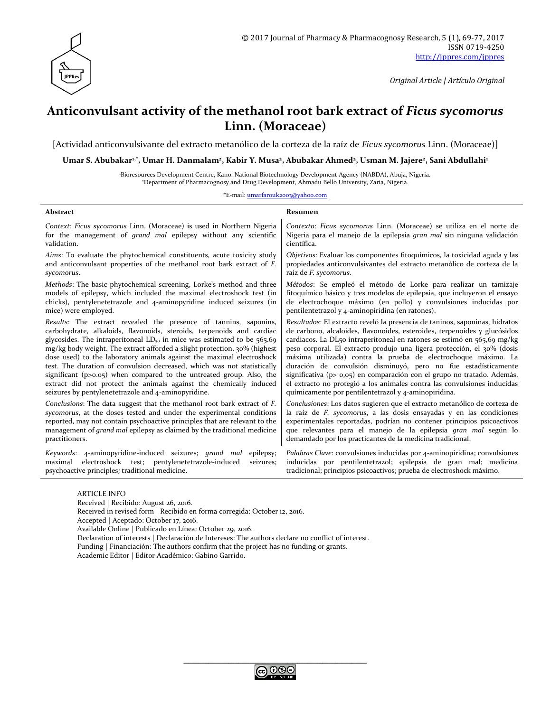

*Original Article | Artículo Original*

# **Anticonvulsant activity of the methanol root bark extract of** *Ficus sycomorus* **Linn. (Moraceae)**

[Actividad anticonvulsivante del extracto metanólico de la corteza de la raíz de *Ficus sycomorus* Linn. (Moraceae)]

Umar S. Abubakarʰ, ʿ, Umar H. Danmalam², Kabir Y. Musa², Abubakar Ahmed², Usman M. Jajere², Sani Abdullahi<sup>ı</sup>

<sup>1</sup>Bioresources Development Centre, Kano. National Biotechnology Development Agency (NABDA), Abuja, Nigeria. <sup>2</sup>Department of Pharmacognosy and Drug Development, Ahmadu Bello University, Zaria, Nigeria.

\*E-mail: [umarfarouk2003@yahoo.com](mailto:umarfarouk2003@yahoo.com)

| Abstract                                                                                                                                                                                      | Resumen                                                                                                                                                                                                                    |  |  |
|-----------------------------------------------------------------------------------------------------------------------------------------------------------------------------------------------|----------------------------------------------------------------------------------------------------------------------------------------------------------------------------------------------------------------------------|--|--|
| Context: Ficus sycomorus Linn. (Moraceae) is used in Northern Nigeria                                                                                                                         | Contexto: Ficus sycomorus Linn. (Moraceae) se utiliza en el norte de                                                                                                                                                       |  |  |
| for the management of <i>grand mal</i> epilepsy without any scientific                                                                                                                        | Nigeria para el manejo de la epilepsia <i>gran mal</i> sin ninguna validación                                                                                                                                              |  |  |
| validation.                                                                                                                                                                                   | científica.                                                                                                                                                                                                                |  |  |
| Aims: To evaluate the phytochemical constituents, acute toxicity study                                                                                                                        | Objetivos: Evaluar los componentes fitoquímicos, la toxicidad aguda y las                                                                                                                                                  |  |  |
| and anticonvulsant properties of the methanol root bark extract of F.                                                                                                                         | propiedades anticonvulsivantes del extracto metanólico de corteza de la                                                                                                                                                    |  |  |
| sycomorus.                                                                                                                                                                                    | raíz de F. sycomorus.                                                                                                                                                                                                      |  |  |
| Methods: The basic phytochemical screening, Lorke's method and three                                                                                                                          | Métodos: Se empleó el método de Lorke para realizar un tamizaje                                                                                                                                                            |  |  |
| models of epilepsy, which included the maximal electroshock test (in                                                                                                                          | fitoquímico básico y tres modelos de epilepsia, que incluyeron el ensayo                                                                                                                                                   |  |  |
| chicks), pentylenetetrazole and 4-aminopyridine induced seizures (in                                                                                                                          | de electrochoque máximo (en pollo) y convulsiones inducidas por                                                                                                                                                            |  |  |
| mice) were employed.                                                                                                                                                                          | pentilentetrazol y 4-aminopiridina (en ratones).                                                                                                                                                                           |  |  |
| Results: The extract revealed the presence of tannins, saponins,                                                                                                                              | Resultados: El extracto reveló la presencia de taninos, saponinas, hidratos                                                                                                                                                |  |  |
| carbohydrate, alkaloids, flavonoids, steroids, terpenoids and cardiac                                                                                                                         | de carbono, alcaloides, flavonoides, esteroides, terpenoides y glucósidos                                                                                                                                                  |  |  |
| glycosides. The intraperitoneal $LD_{50}$ in mice was estimated to be 565.69                                                                                                                  | cardiacos. La DL50 intraperitoneal en ratones se estimó en 565,69 mg/kg                                                                                                                                                    |  |  |
| mg/kg body weight. The extract afforded a slight protection, 30% (highest                                                                                                                     | peso corporal. El extracto produjo una ligera protección, el 30% (dosis                                                                                                                                                    |  |  |
| dose used) to the laboratory animals against the maximal electroshock                                                                                                                         | máxima utilizada) contra la prueba de electrochoque máximo. La                                                                                                                                                             |  |  |
| test. The duration of convulsion decreased, which was not statistically                                                                                                                       | duración de convulsión disminuyó, pero no fue estadísticamente                                                                                                                                                             |  |  |
| significant (p>0.05) when compared to the untreated group. Also, the                                                                                                                          | significativa (p> 0,05) en comparación con el grupo no tratado. Además,                                                                                                                                                    |  |  |
| extract did not protect the animals against the chemically induced                                                                                                                            | el extracto no protegió a los animales contra las convulsiones inducidas                                                                                                                                                   |  |  |
| seizures by pentylenetetrazole and 4-aminopyridine.                                                                                                                                           | químicamente por pentilentetrazol y 4-aminopiridina.                                                                                                                                                                       |  |  |
| Conclusions: The data suggest that the methanol root bark extract of F.                                                                                                                       | Conclusiones: Los datos sugieren que el extracto metanólico de corteza de                                                                                                                                                  |  |  |
| sycomorus, at the doses tested and under the experimental conditions                                                                                                                          | la raíz de F. sycomorus, a las dosis ensayadas y en las condiciones                                                                                                                                                        |  |  |
| reported, may not contain psychoactive principles that are relevant to the                                                                                                                    | experimentales reportadas, podrían no contener principios psicoactivos                                                                                                                                                     |  |  |
| management of <i>grand mal</i> epilepsy as claimed by the traditional medicine                                                                                                                | que relevantes para el manejo de la epilepsia gran mal según lo                                                                                                                                                            |  |  |
| practitioners.                                                                                                                                                                                | demandado por los practicantes de la medicina tradicional.                                                                                                                                                                 |  |  |
| Keywords: 4-aminopyridine-induced seizures; grand mal<br>epilepsy;<br>electroshock test; pentylenetetrazole-induced<br>maximal<br>seizures;<br>psychoactive principles; traditional medicine. | <i>Palabras Clave:</i> convulsiones inducidas por 4-aminopiridina; convulsiones<br>inducidas por pentilentetrazol; epilepsia de gran mal; medicina<br>tradicional; principios psicoactivos; prueba de electroshock máximo. |  |  |

ARTICLE INFO

Received | Recibido: August 26, 2016. Received in revised form | Recibido en forma corregida: October 12, 2016. Accepted | Aceptado: October 17, 2016. Available Online | Publicado en Línea: October 29, 2016. Declaration of interests | Declaración de Intereses: The authors declare no conflict of interest. Funding | Financiación: The authors confirm that the project has no funding or grants. Academic Editor | Editor Académico: Gabino Garrido.

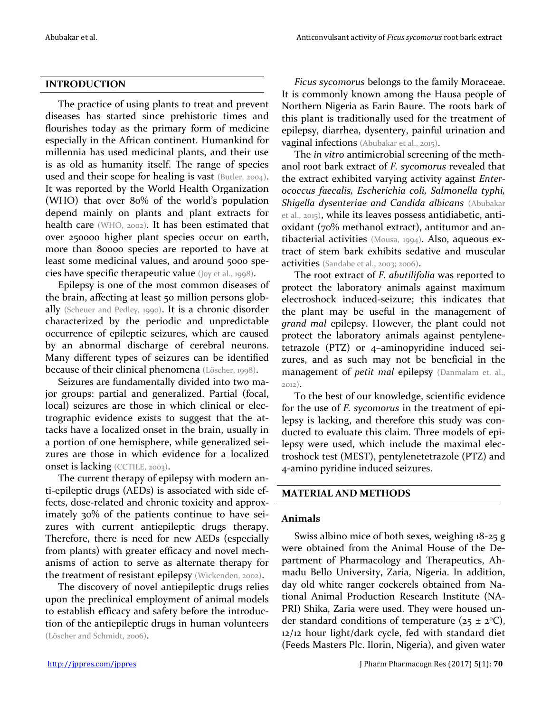## **INTRODUCTION**

The practice of using plants to treat and prevent diseases has started since prehistoric times and flourishes today as the primary form of medicine especially in the African continent. Humankind for millennia has used medicinal plants, and their use is as old as humanity itself. The range of species used and their scope for healing is vast (Butler, 2004). It was reported by the World Health Organization (WHO) that over 80% of the world's population depend mainly on plants and plant extracts for health care (WHO, 2002). It has been estimated that over 250000 higher plant species occur on earth, more than 80000 species are reported to have at least some medicinal values, and around 5000 species have specific therapeutic value (Joy et al., 1998).

Epilepsy is one of the most common diseases of the brain, affecting at least 50 million persons globally (Scheuer and Pedley, 1990). It is a chronic disorder characterized by the periodic and unpredictable occurrence of epileptic seizures, which are caused by an abnormal discharge of cerebral neurons. Many different types of seizures can be identified because of their clinical phenomena (Löscher, 1998).

Seizures are fundamentally divided into two major groups: partial and generalized. Partial (focal, local) seizures are those in which clinical or electrographic evidence exists to suggest that the attacks have a localized onset in the brain, usually in a portion of one hemisphere, while generalized seizures are those in which evidence for a localized onset is lacking (CCTILE, 2003).

The current therapy of epilepsy with modern anti-epileptic drugs (AEDs) is associated with side effects, dose-related and chronic toxicity and approximately 30% of the patients continue to have seizures with current antiepileptic drugs therapy. Therefore, there is need for new AEDs (especially from plants) with greater efficacy and novel mechanisms of action to serve as alternate therapy for the treatment of resistant epilepsy (Wickenden, 2002).

The discovery of novel antiepileptic drugs relies upon the preclinical employment of animal models to establish efficacy and safety before the introduction of the antiepileptic drugs in human volunteers (Löscher and Schmidt, 2006).

*Ficus sycomorus* belongs to the family Moraceae. It is commonly known among the Hausa people of Northern Nigeria as Farin Baure. The roots bark of this plant is traditionally used for the treatment of epilepsy, diarrhea, dysentery, painful urination and vaginal infections (Abubakar et al., 2015).

The *in vitro* antimicrobial screening of the methanol root bark extract of *F. sycomorus* revealed that the extract exhibited varying activity against *Enterococcus faecalis, Escherichia coli, Salmonella typhi, Shigella dysenteriae and Candida albicans* (Abubakar et al., 2015), while its leaves possess antidiabetic, antioxidant (70% methanol extract), antitumor and antibacterial activities (Mousa, 1994). Also, aqueous extract of stem bark exhibits sedative and muscular activities (Sandabe et al., 2003; 2006).

The root extract of *F. abutilifolia* was reported to protect the laboratory animals against maximum electroshock induced-seizure; this indicates that the plant may be useful in the management of *grand mal* epilepsy. However, the plant could not protect the laboratory animals against pentylenetetrazole (PTZ) or 4–aminopyridine induced seizures, and as such may not be beneficial in the management of *petit mal* epilepsy (Danmalam et. al., 2012).

To the best of our knowledge, scientific evidence for the use of *F. sycomorus* in the treatment of epilepsy is lacking, and therefore this study was conducted to evaluate this claim. Three models of epilepsy were used, which include the maximal electroshock test (MEST), pentylenetetrazole (PTZ) and 4-amino pyridine induced seizures.

## **MATERIAL AND METHODS**

## **Animals**

Swiss albino mice of both sexes, weighing 18-25 g were obtained from the Animal House of the Department of Pharmacology and Therapeutics, Ahmadu Bello University, Zaria, Nigeria. In addition, day old white ranger cockerels obtained from National Animal Production Research Institute (NA-PRI) Shika, Zaria were used. They were housed under standard conditions of temperature ( $25 \pm 2$ °C), 12/12 hour light/dark cycle, fed with standard diet (Feeds Masters Plc. Ilorin, Nigeria), and given water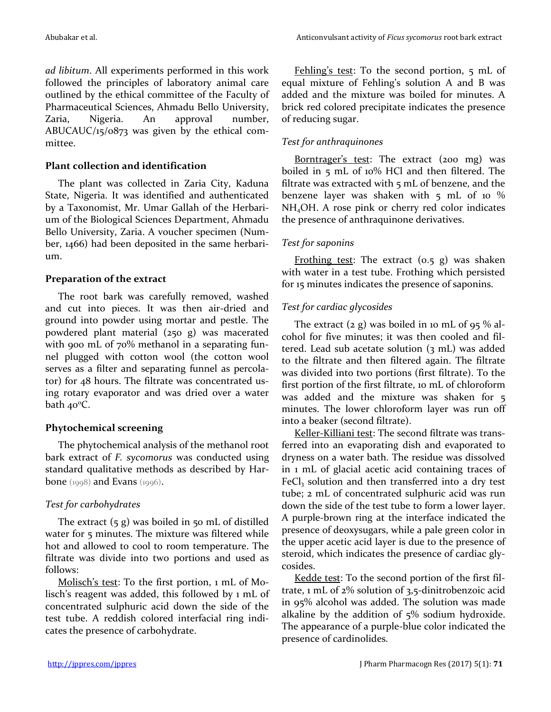*ad libitum*. All experiments performed in this work followed the principles of laboratory animal care outlined by the ethical committee of the Faculty of Pharmaceutical Sciences, Ahmadu Bello University, Zaria, Nigeria. An approval number, ABUCAUC/15/0873 was given by the ethical committee.

## **Plant collection and identification**

The plant was collected in Zaria City, Kaduna State, Nigeria. It was identified and authenticated by a Taxonomist, Mr. Umar Gallah of the Herbarium of the Biological Sciences Department, Ahmadu Bello University, Zaria. A voucher specimen (Number, 1466) had been deposited in the same herbarium.

### **Preparation of the extract**

The root bark was carefully removed, washed and cut into pieces. It was then air-dried and ground into powder using mortar and pestle. The powdered plant material (250 g) was macerated with 900 mL of 70% methanol in a separating funnel plugged with cotton wool (the cotton wool serves as a filter and separating funnel as percolator) for 48 hours. The filtrate was concentrated using rotary evaporator and was dried over a water bath  $40^{\circ}$ C.

## **Phytochemical screening**

The phytochemical analysis of the methanol root bark extract of *F. sycomorus* was conducted using standard qualitative methods as described by Harbone (1998) and Evans (1996).

## *Test for carbohydrates*

The extract  $(5 g)$  was boiled in  $50$  mL of distilled water for 5 minutes. The mixture was filtered while hot and allowed to cool to room temperature. The filtrate was divide into two portions and used as follows:

Molisch's test: To the first portion, 1 mL of Molisch's reagent was added, this followed by 1 mL of concentrated sulphuric acid down the side of the test tube. A reddish colored interfacial ring indicates the presence of carbohydrate.

Fehling's test: To the second portion, 5 mL of equal mixture of Fehling's solution A and B was added and the mixture was boiled for minutes. A brick red colored precipitate indicates the presence of reducing sugar.

## *Test for anthraquinones*

Borntrager's test: The extract (200 mg) was boiled in 5 mL of 10% HCl and then filtered. The filtrate was extracted with 5 mL of benzene, and the benzene layer was shaken with 5 mL of 10 % NH4OH. A rose pink or cherry red color indicates the presence of anthraquinone derivatives.

## *Test for saponins*

Frothing test: The extract  $(o.5 g)$  was shaken with water in a test tube. Frothing which persisted for 15 minutes indicates the presence of saponins.

## *Test for cardiac glycosides*

The extract  $(2 g)$  was boiled in 10 mL of 95 % alcohol for five minutes; it was then cooled and filtered. Lead sub acetate solution (3 mL) was added to the filtrate and then filtered again. The filtrate was divided into two portions (first filtrate). To the first portion of the first filtrate, 10 mL of chloroform was added and the mixture was shaken for 5 minutes. The lower chloroform layer was run off into a beaker (second filtrate).

Keller-Killiani test: The second filtrate was transferred into an evaporating dish and evaporated to dryness on a water bath. The residue was dissolved in 1 mL of glacial acetic acid containing traces of  $FeCl<sub>3</sub>$  solution and then transferred into a dry test tube; 2 mL of concentrated sulphuric acid was run down the side of the test tube to form a lower layer. A purple-brown ring at the interface indicated the presence of deoxysugars, while a pale green color in the upper acetic acid layer is due to the presence of steroid, which indicates the presence of cardiac glycosides.

Kedde test: To the second portion of the first filtrate, 1 mL of 2% solution of 3,5-dinitrobenzoic acid in 95% alcohol was added. The solution was made alkaline by the addition of 5% sodium hydroxide. The appearance of a purple-blue color indicated the presence of cardinolides.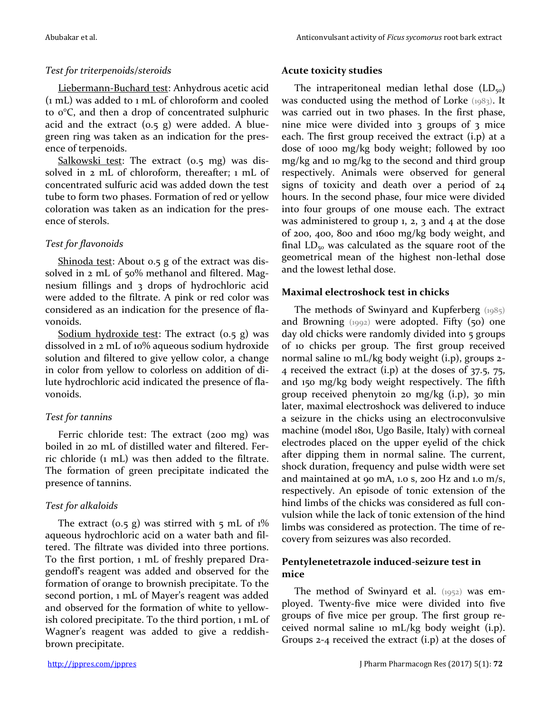## *Test for triterpenoids/steroids*

Liebermann-Buchard test: Anhydrous acetic acid (1 mL) was added to 1 mL of chloroform and cooled to 0°C, and then a drop of concentrated sulphuric acid and the extract  $(0.5 \text{ g})$  were added. A bluegreen ring was taken as an indication for the presence of terpenoids.

Salkowski test: The extract (0.5 mg) was dissolved in 2 mL of chloroform, thereafter; 1 mL of concentrated sulfuric acid was added down the test tube to form two phases. Formation of red or yellow coloration was taken as an indication for the presence of sterols.

## *Test for flavonoids*

Shinoda test: About 0.5 g of the extract was dissolved in 2 mL of 50% methanol and filtered. Magnesium fillings and 3 drops of hydrochloric acid were added to the filtrate. A pink or red color was considered as an indication for the presence of flavonoids.

<u>Sodium hydroxide test</u>: The extract  $(0.5 \text{ g})$  was dissolved in 2 mL of 10% aqueous sodium hydroxide solution and filtered to give yellow color, a change in color from yellow to colorless on addition of dilute hydrochloric acid indicated the presence of flavonoids.

## *Test for tannins*

Ferric chloride test: The extract (200 mg) was boiled in 20 mL of distilled water and filtered. Ferric chloride (1 mL) was then added to the filtrate. The formation of green precipitate indicated the presence of tannins.

## *Test for alkaloids*

The extract (0.5 g) was stirred with 5 mL of  $1\%$ aqueous hydrochloric acid on a water bath and filtered. The filtrate was divided into three portions. To the first portion, 1 mL of freshly prepared Dragendoff's reagent was added and observed for the formation of orange to brownish precipitate. To the second portion, 1 mL of Mayer's reagent was added and observed for the formation of white to yellowish colored precipitate. To the third portion, 1 mL of Wagner's reagent was added to give a reddishbrown precipitate.

### **Acute toxicity studies**

The intraperitoneal median lethal dose  $(LD_{50})$ was conducted using the method of Lorke (1983). It was carried out in two phases. In the first phase, nine mice were divided into 3 groups of 3 mice each. The first group received the extract (i.p) at a dose of 1000 mg/kg body weight; followed by 100 mg/kg and 10 mg/kg to the second and third group respectively. Animals were observed for general signs of toxicity and death over a period of 24 hours. In the second phase, four mice were divided into four groups of one mouse each. The extract was administered to group 1, 2, 3 and 4 at the dose of 200, 400, 800 and 1600 mg/kg body weight, and final  $LD_{50}$  was calculated as the square root of the geometrical mean of the highest non-lethal dose and the lowest lethal dose.

## **Maximal electroshock test in chicks**

The methods of Swinyard and Kupferberg (1985) and Browning  $(1992)$  were adopted. Fifty  $(50)$  one day old chicks were randomly divided into 5 groups of 10 chicks per group. The first group received normal saline 10 mL/kg body weight (i.p), groups 2- 4 received the extract (i.p) at the doses of 37.5, 75, and 150 mg/kg body weight respectively. The fifth group received phenytoin 20 mg/kg (i.p), 30 min later, maximal electroshock was delivered to induce a seizure in the chicks using an electroconvulsive machine (model 1801, Ugo Basile, Italy) with corneal electrodes placed on the upper eyelid of the chick after dipping them in normal saline. The current, shock duration, frequency and pulse width were set and maintained at 90 mA, 1.0 s, 200 Hz and 1.0 m/s, respectively. An episode of tonic extension of the hind limbs of the chicks was considered as full convulsion while the lack of tonic extension of the hind limbs was considered as protection. The time of recovery from seizures was also recorded.

## **Pentylenetetrazole induced-seizure test in mice**

The method of Swinyard et al. (1952) was employed. Twenty-five mice were divided into five groups of five mice per group. The first group received normal saline 10 mL/kg body weight (i.p). Groups 2-4 received the extract (i.p) at the doses of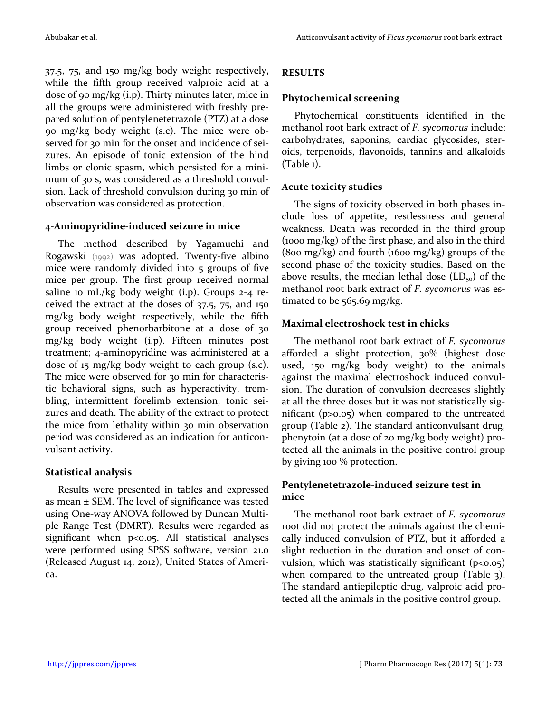37.5, 75, and 150 mg/kg body weight respectively, while the fifth group received valproic acid at a dose of 90 mg/kg (i.p). Thirty minutes later, mice in all the groups were administered with freshly prepared solution of pentylenetetrazole (PTZ) at a dose 90 mg/kg body weight (s.c). The mice were observed for 30 min for the onset and incidence of seizures. An episode of tonic extension of the hind limbs or clonic spasm, which persisted for a minimum of 30 s, was considered as a threshold convulsion. Lack of threshold convulsion during 30 min of observation was considered as protection.

### **4-Aminopyridine-induced seizure in mice**

The method described by Yagamuchi and Rogawski (1992) was adopted. Twenty-five albino mice were randomly divided into 5 groups of five mice per group. The first group received normal saline 10 mL/kg body weight (i.p). Groups 2-4 received the extract at the doses of 37.5, 75, and 150 mg/kg body weight respectively, while the fifth group received phenorbarbitone at a dose of 30 mg/kg body weight (i.p). Fifteen minutes post treatment; 4-aminopyridine was administered at a dose of 15 mg/kg body weight to each group (s.c). The mice were observed for 30 min for characteristic behavioral signs, such as hyperactivity, trembling, intermittent forelimb extension, tonic seizures and death. The ability of the extract to protect the mice from lethality within 30 min observation period was considered as an indication for anticonvulsant activity.

## **Statistical analysis**

Results were presented in tables and expressed as mean  $\pm$  SEM. The level of significance was tested using One-way ANOVA followed by Duncan Multiple Range Test (DMRT). Results were regarded as significant when p<0.05. All statistical analyses were performed using SPSS software, version 21.0 (Released August 14, 2012), United States of America.

## **RESULTS**

## **Phytochemical screening**

Phytochemical constituents identified in the methanol root bark extract of *F. sycomorus* include: carbohydrates, saponins, cardiac glycosides, steroids, terpenoids, flavonoids, tannins and alkaloids (Table 1).

## **Acute toxicity studies**

The signs of toxicity observed in both phases include loss of appetite, restlessness and general weakness. Death was recorded in the third group (1000 mg/kg) of the first phase, and also in the third (800 mg/kg) and fourth (1600 mg/kg) groups of the second phase of the toxicity studies. Based on the above results, the median lethal dose  $(LD_{50})$  of the methanol root bark extract of *F. sycomorus* was estimated to be 565.69 mg/kg.

## **Maximal electroshock test in chicks**

The methanol root bark extract of *F. sycomorus* afforded a slight protection, 30% (highest dose used, 150 mg/kg body weight) to the animals against the maximal electroshock induced convulsion. The duration of convulsion decreases slightly at all the three doses but it was not statistically significant (p>0.05) when compared to the untreated group (Table 2). The standard anticonvulsant drug, phenytoin (at a dose of 20 mg/kg body weight) protected all the animals in the positive control group by giving 100 % protection.

## **Pentylenetetrazole-induced seizure test in mice**

The methanol root bark extract of *F. sycomorus* root did not protect the animals against the chemically induced convulsion of PTZ, but it afforded a slight reduction in the duration and onset of convulsion, which was statistically significant  $(p<0.05)$ when compared to the untreated group (Table 3). The standard antiepileptic drug, valproic acid protected all the animals in the positive control group.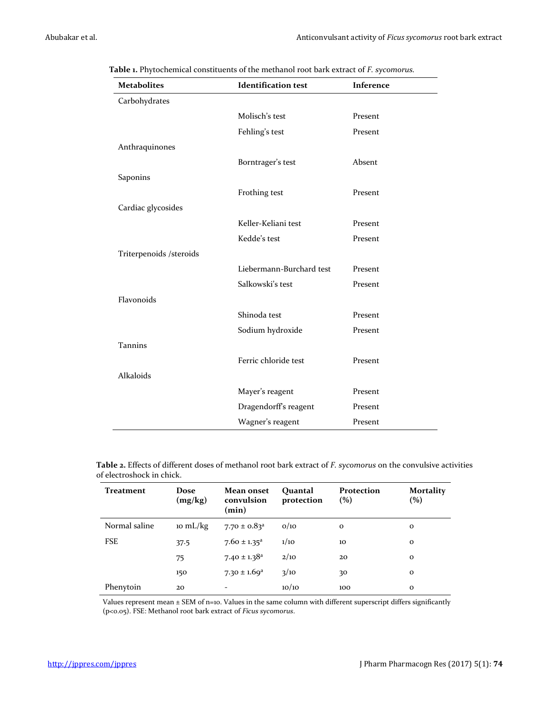| <b>Metabolites</b>       | <b>Identification test</b> | Inference |
|--------------------------|----------------------------|-----------|
| Carbohydrates            |                            |           |
|                          | Molisch's test             | Present   |
|                          | Fehling's test             | Present   |
| Anthraquinones           |                            |           |
|                          | Borntrager's test          | Absent    |
| Saponins                 |                            |           |
|                          | Frothing test              | Present   |
| Cardiac glycosides       |                            |           |
|                          | Keller-Keliani test        | Present   |
|                          | Kedde's test               | Present   |
| Triterpenoids / steroids |                            |           |
|                          | Liebermann-Burchard test   | Present   |
|                          | Salkowski's test           | Present   |
| Flavonoids               |                            |           |
|                          | Shinoda test               | Present   |
|                          | Sodium hydroxide           | Present   |
| <b>Tannins</b>           |                            |           |
|                          | Ferric chloride test       | Present   |
| Alkaloids                |                            |           |
|                          | Mayer's reagent            | Present   |
|                          | Dragendorff's reagent      | Present   |
|                          | Wagner's reagent           | Present   |

**Table 1.** Phytochemical constituents of the methanol root bark extract of *F. sycomorus.*

**Table 2.** Effects of different doses of methanol root bark extract of *F. sycomorus* on the convulsive activities of electroshock in chick.

| Treatment     | Dose<br>(mg/kg) | Mean onset<br>convulsion<br>(min) | Ouantal<br>protection | Protection<br>(%) | <b>Mortality</b><br>(%) |
|---------------|-----------------|-----------------------------------|-----------------------|-------------------|-------------------------|
| Normal saline | 10 mL/kg        | $7.70 \pm 0.83$ <sup>a</sup>      | O/10                  | $\mathbf{o}$      | $\mathbf 0$             |
| <b>FSE</b>    | 37.5            | $7.60 \pm 1.35^a$                 | 1/10                  | 10                | $\mathbf{o}$            |
|               | 75              | $7.40 \pm 1.38$ <sup>a</sup>      | 2/10                  | 20                | $\mathbf{o}$            |
|               | 150             | $7.30 \pm 1.69$ <sup>a</sup>      | 3/10                  | 30                | $\mathbf{o}$            |
| Phenytoin     | 20              | $\overline{a}$                    | 10/10                 | 100               | $\mathbf{o}$            |

Values represent mean ± SEM of n=10. Values in the same column with different superscript differs significantly (p<0.05). FSE: Methanol root bark extract of *Ficus sycomorus*.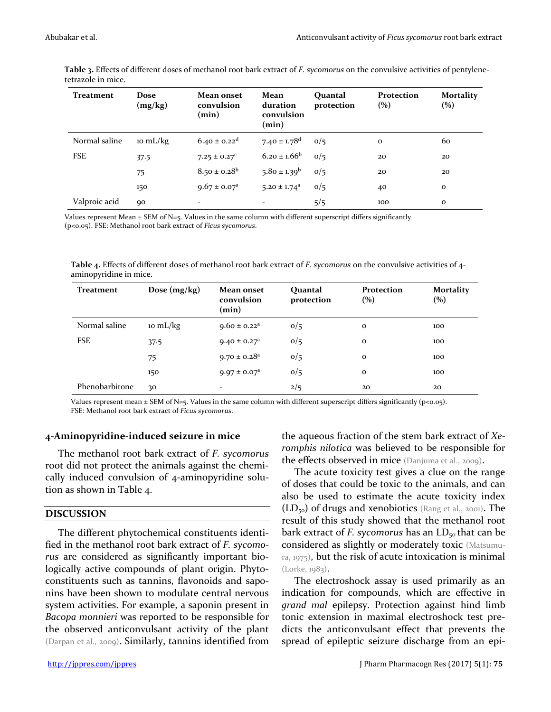| <b>Treatment</b> | Dose<br>(mg/kg) | Mean onset<br>convulsion<br>(min) | Mean<br>duration<br>convulsion<br>(min) | Ouantal<br>protection | Protection<br>(%) | <b>Mortality</b><br>$\left( % \right)$ |
|------------------|-----------------|-----------------------------------|-----------------------------------------|-----------------------|-------------------|----------------------------------------|
| Normal saline    | 10 mL/kg        | $6.40 \pm 0.22$ <sup>d</sup>      | 7.40 $\pm$ 1.78 <sup>d</sup>            | 0/5                   | $\mathbf{o}$      | 60                                     |
| <b>FSE</b>       | 37.5            | $7.25 \pm 0.27^c$                 | $6.20 \pm 1.66^b$                       | 0/5                   | 20                | 20                                     |
|                  | 75              | $8.50 \pm 0.28^b$                 | $5.80 \pm 1.39^b$                       | 0/5                   | 20                | 20                                     |
|                  | 150             | $9.67 \pm 0.07^a$                 | $5.20 \pm 1.74$ <sup>a</sup>            | 0/5                   | 40                | $\mathbf{o}$                           |
| Valproic acid    | 90              |                                   |                                         | 5/5                   | 100               | $\mathbf{o}$                           |

**Table 3.** Effects of different doses of methanol root bark extract of *F. sycomorus* on the convulsive activities of pentylenetetrazole in mice.

Values represent Mean  $\pm$  SEM of N=5. Values in the same column with different superscript differs significantly (p<0.05). FSE: Methanol root bark extract of *Ficus sycomorus*.

**Table 4.** Effects of different doses of methanol root bark extract of *F. sycomorus* on the convulsive activities of 4 aminopyridine in mice.

| Treatment      | Dose $(mg/kg)$ | Mean onset<br>convulsion<br>(min) | Quantal<br>protection | Protection<br>(%) | <b>Mortality</b><br>(%) |
|----------------|----------------|-----------------------------------|-----------------------|-------------------|-------------------------|
| Normal saline  | 10 mL/kg       | $9.60 \pm 0.22$ <sup>a</sup>      | 0/5                   | $\mathbf{o}$      | 100                     |
| <b>FSE</b>     | 37.5           | $9.40 \pm 0.27$ <sup>a</sup>      | 0/5                   | $\mathbf{o}$      | 100                     |
|                | 75             | $9.70 \pm 0.28$ <sup>a</sup>      | 0/5                   | $\mathbf{o}$      | 100                     |
|                | 150            | $9.97 \pm 0.07^{\text{a}}$        | 0/5                   | $\mathbf 0$       | 100                     |
| Phenobarbitone | 30             | -                                 | 2/5                   | 20                | 20                      |

Values represent mean  $\pm$  SEM of N=5. Values in the same column with different superscript differs significantly (p<0.05). FSE: Methanol root bark extract of *Ficus sycomorus*.

#### **4-Aminopyridine-induced seizure in mice**

The methanol root bark extract of *F. sycomorus* root did not protect the animals against the chemically induced convulsion of 4-aminopyridine solution as shown in Table 4.

#### **DISCUSSION**

The different phytochemical constituents identified in the methanol root bark extract of *F. sycomorus* are considered as significantly important biologically active compounds of plant origin. Phytoconstituents such as tannins, flavonoids and saponins have been shown to modulate central nervous system activities. For example, a saponin present in *Bacopa monnieri* was reported to be responsible for the observed anticonvulsant activity of the plant (Darpan et al., 2009). Similarly, tannins identified from

the aqueous fraction of the stem bark extract of *Xeromphis nilotica* was believed to be responsible for the effects observed in mice (Danjuma et al., 2009).

The acute toxicity test gives a clue on the range of doses that could be toxic to the animals, and can also be used to estimate the acute toxicity index  $(LD_{50})$  of drugs and xenobiotics (Rang et al., 2001). The result of this study showed that the methanol root bark extract of *F. sycomorus* has an LD<sub>50</sub> that can be considered as slightly or moderately toxic (Matsumura, 1975), but the risk of acute intoxication is minimal (Lorke, 1983).

The electroshock assay is used primarily as an indication for compounds, which are effective in *grand mal* epilepsy. Protection against hind limb tonic extension in maximal electroshock test predicts the anticonvulsant effect that prevents the spread of epileptic seizure discharge from an epi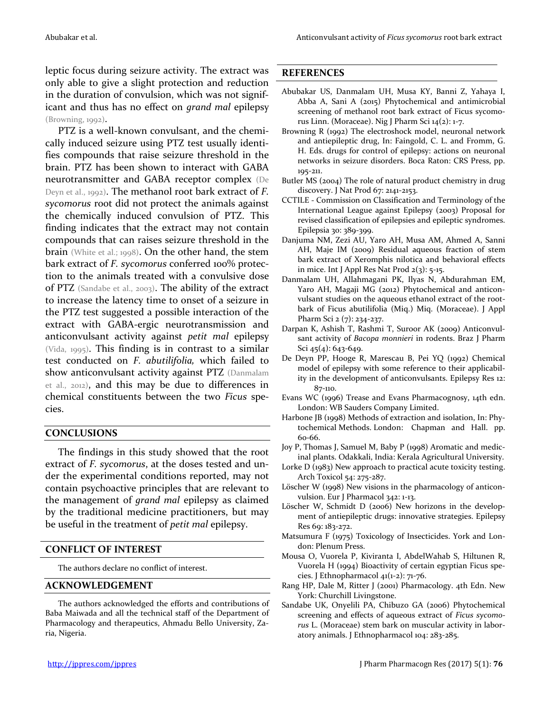leptic focus during seizure activity. The extract was only able to give a slight protection and reduction in the duration of convulsion, which was not significant and thus has no effect on *grand mal* epilepsy (Browning, 1992).

PTZ is a well-known convulsant, and the chemically induced seizure using PTZ test usually identifies compounds that raise seizure threshold in the brain. PTZ has been shown to interact with GABA neurotransmitter and GABA receptor complex (De Deyn et al., 1992). The methanol root bark extract of *F. sycomorus* root did not protect the animals against the chemically induced convulsion of PTZ. This finding indicates that the extract may not contain compounds that can raises seizure threshold in the brain (White et al.; 1998). On the other hand, the stem bark extract of *F. sycomorus* conferred 100% protection to the animals treated with a convulsive dose of PTZ (Sandabe et al., 2003). The ability of the extract to increase the latency time to onset of a seizure in the PTZ test suggested a possible interaction of the extract with GABA-ergic neurotransmission and anticonvulsant activity against *petit mal* epilepsy (Vida, 1995). This finding is in contrast to a similar test conducted on *F. abutilifolia,* which failed to show anticonvulsant activity against PTZ (Danmalam et al., 2012), and this may be due to differences in chemical constituents between the two *Ficus* species.

#### **CONCLUSIONS**

The findings in this study showed that the root extract of *F. sycomorus*, at the doses tested and under the experimental conditions reported, may not contain psychoactive principles that are relevant to the management of *grand mal* epilepsy as claimed by the traditional medicine practitioners, but may be useful in the treatment of *petit mal* epilepsy.

#### **CONFLICT OF INTEREST**

The authors declare no conflict of interest.

#### **ACKNOWLEDGEMENT**

The authors acknowledged the efforts and contributions of Baba Maiwada and all the technical staff of the Department of Pharmacology and therapeutics, Ahmadu Bello University, Zaria, Nigeria.

#### **REFERENCES**

- Abubakar US, Danmalam UH, Musa KY, Banni Z, Yahaya I, Abba A, Sani A (2015) Phytochemical and antimicrobial screening of methanol root bark extract of Ficus sycomorus Linn. (Moraceae). Nig J Pharm Sci 14(2): 1-7.
- Browning R (1992) The electroshock model, neuronal network and antiepileptic drug, In: Faingold, C. L. and Fromm, G. H. Eds. drugs for control of epilepsy: actions on neuronal networks in seizure disorders. Boca Raton: CRS Press, pp. 195-211.
- Butler MS (2004) The role of natural product chemistry in drug discovery. J Nat Prod 67: 2141-2153.
- CCTILE Commission on Classification and Terminology of the International League against Epilepsy (2003) Proposal for revised classification of epilepsies and epileptic syndromes. Epilepsia 30: 389-399.
- Danjuma NM, Zezi AU, Yaro AH, Musa AM, Ahmed A, Sanni AH, Maje IM (2009) Residual aqueous fraction of stem bark extract of Xeromphis nilotica and behavioral effects in mice. Int J Appl Res Nat Prod  $2(3)$ : 5-15.
- Danmalam UH, Allahmagani PK, Ilyas N, Abdurahman EM, Yaro AH, Magaji MG (2012) Phytochemical and anticonvulsant studies on the aqueous ethanol extract of the rootbark of Ficus abutilifolia (Miq.) Miq. (Moraceae). J Appl Pharm Sci 2 (7): 234-237.
- Darpan K, Ashish T, Rashmi T, Suroor AK (2009) Anticonvulsant activity of *Bacopa monnieri* in rodents. Braz J Pharm Sci  $45(4)$ : 643-649.
- De Deyn PP, Hooge R, Marescau B, Pei YQ (1992) Chemical model of epilepsy with some reference to their applicability in the development of anticonvulsants. Epilepsy Res 12: 87-110.
- Evans WC (1996) Trease and Evans Pharmacognosy, 14th edn. London: WB Sauders Company Limited.
- Harbone JB (1998) Methods of extraction and isolation, In: Phytochemical Methods. London: Chapman and Hall. pp. 60-66.
- Joy P, Thomas J, Samuel M, Baby P (1998) Aromatic and medicinal plants. Odakkali, India: Kerala Agricultural University.
- Lorke D (1983) New approach to practical acute toxicity testing. Arch Toxicol 54: 275-287.
- Löscher W (1998) New visions in the pharmacology of anticonvulsion. Eur J Pharmacol 342: 1-13.
- Löscher W, Schmidt D (2006) New horizons in the development of antiepileptic drugs: innovative strategies. Epilepsy Res 69: 183-272.
- Matsumura F (1975) Toxicology of Insecticides. York and London: Plenum Press.
- Mousa O, Vuorela P, Kiviranta I, AbdelWahab S, Hiltunen R, Vuorela H (1994) Bioactivity of certain egyptian Ficus species. J Ethnopharmacol 41(1-2): 71-76.
- Rang HP, Dale M, Ritter J (2001) Pharmacology. 4th Edn. New York: Churchill Livingstone.
- Sandabe UK, Onyelili PA, Chibuzo GA (2006) Phytochemical screening and effects of aqueous extract of *Ficus sycomorus* L. (Moraceae) stem bark on muscular activity in laboratory animals. J Ethnopharmacol 104: 283-285.